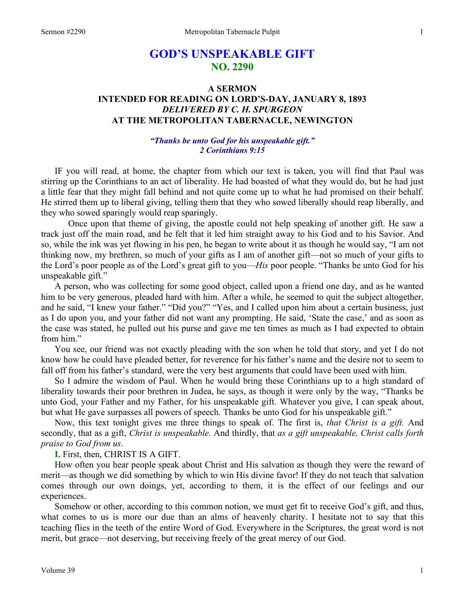# **GOD'S UNSPEAKABLE GIFT NO. 2290**

## **A SERMON INTENDED FOR READING ON LORD'S-DAY, JANUARY 8, 1893** *DELIVERED BY C. H. SPURGEON*  **AT THE METROPOLITAN TABERNACLE, NEWINGTON**

#### *"Thanks be unto God for his unspeakable gift." 2 Corinthians 9:15*

IF you will read, at home, the chapter from which our text is taken, you will find that Paul was stirring up the Corinthians to an act of liberality. He had boasted of what they would do, but he had just a little fear that they might fall behind and not quite come up to what he had promised on their behalf. He stirred them up to liberal giving, telling them that they who sowed liberally should reap liberally, and they who sowed sparingly would reap sparingly.

Once upon that theme of giving, the apostle could not help speaking of another gift. He saw a track just off the main road, and he felt that it led him straight away to his God and to his Savior. And so, while the ink was yet flowing in his pen, he began to write about it as though he would say, "I am not thinking now, my brethren, so much of your gifts as I am of another gift—not so much of your gifts to the Lord's poor people as of the Lord's great gift to you—*His* poor people. "Thanks be unto God for his unspeakable gift."

A person, who was collecting for some good object, called upon a friend one day, and as he wanted him to be very generous, pleaded hard with him. After a while, he seemed to quit the subject altogether, and he said, "I knew your father." "Did you?" "Yes, and I called upon him about a certain business, just as I do upon you, and your father did not want any prompting. He said, 'State the case,' and as soon as the case was stated, he pulled out his purse and gave me ten times as much as I had expected to obtain from him."

You see, our friend was not exactly pleading with the son when he told that story, and yet I do not know how he could have pleaded better, for reverence for his father's name and the desire not to seem to fall off from his father's standard, were the very best arguments that could have been used with him.

So I admire the wisdom of Paul. When he would bring these Corinthians up to a high standard of liberality towards their poor brethren in Judea, he says, as though it were only by the way, "Thanks be unto God, your Father and my Father, for his unspeakable gift. Whatever you give, I can speak about, but what He gave surpasses all powers of speech. Thanks be unto God for his unspeakable gift."

Now, this text tonight gives me three things to speak of. The first is, *that Christ is a gift.* And secondly, that as a gift, *Christ is unspeakable.* And thirdly, that *as a gift unspeakable, Christ calls forth praise to God from us*.

**I.** First, then, CHRIST IS A GIFT.

How often you hear people speak about Christ and His salvation as though they were the reward of merit—as though we did something by which to win His divine favor! If they do not teach that salvation comes through our own doings, yet, according to them, it is the effect of our feelings and our experiences.

Somehow or other, according to this common notion, we must get fit to receive God's gift, and thus, what comes to us is more our due than an alms of heavenly charity. I hesitate not to say that this teaching flies in the teeth of the entire Word of God. Everywhere in the Scriptures, the great word is not merit, but grace—not deserving, but receiving freely of the great mercy of our God.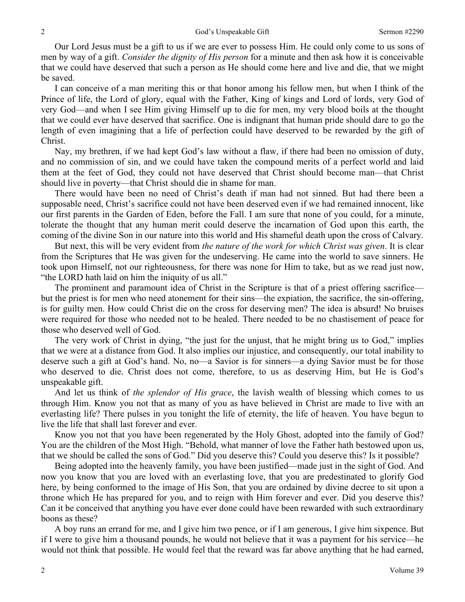Our Lord Jesus must be a gift to us if we are ever to possess Him. He could only come to us sons of men by way of a gift. *Consider the dignity of His person* for a minute and then ask how it is conceivable that we could have deserved that such a person as He should come here and live and die, that we might be saved.

I can conceive of a man meriting this or that honor among his fellow men, but when I think of the Prince of life, the Lord of glory, equal with the Father, King of kings and Lord of lords, very God of very God—and when I see Him giving Himself up to die for men, my very blood boils at the thought that we could ever have deserved that sacrifice. One is indignant that human pride should dare to go the length of even imagining that a life of perfection could have deserved to be rewarded by the gift of Christ.

Nay, my brethren, if we had kept God's law without a flaw, if there had been no omission of duty, and no commission of sin, and we could have taken the compound merits of a perfect world and laid them at the feet of God, they could not have deserved that Christ should become man—that Christ should live in poverty—that Christ should die in shame for man.

There would have been no need of Christ's death if man had not sinned. But had there been a supposable need, Christ's sacrifice could not have been deserved even if we had remained innocent, like our first parents in the Garden of Eden, before the Fall. I am sure that none of you could, for a minute, tolerate the thought that any human merit could deserve the incarnation of God upon this earth, the coming of the divine Son in our nature into this world and His shameful death upon the cross of Calvary.

But next, this will be very evident from *the nature of the work for which Christ was given*. It is clear from the Scriptures that He was given for the undeserving. He came into the world to save sinners. He took upon Himself, not our righteousness, for there was none for Him to take, but as we read just now, "the LORD hath laid on him the iniquity of us all."

The prominent and paramount idea of Christ in the Scripture is that of a priest offering sacrifice but the priest is for men who need atonement for their sins—the expiation, the sacrifice, the sin-offering, is for guilty men. How could Christ die on the cross for deserving men? The idea is absurd! No bruises were required for those who needed not to be healed. There needed to be no chastisement of peace for those who deserved well of God.

The very work of Christ in dying, "the just for the unjust, that he might bring us to God," implies that we were at a distance from God. It also implies our injustice, and consequently, our total inability to deserve such a gift at God's hand. No, no—a Savior is for sinners—a dying Savior must be for those who deserved to die. Christ does not come, therefore, to us as deserving Him, but He is God's unspeakable gift.

And let us think of *the splendor of His grace*, the lavish wealth of blessing which comes to us through Him. Know you not that as many of you as have believed in Christ are made to live with an everlasting life? There pulses in you tonight the life of eternity, the life of heaven. You have begun to live the life that shall last forever and ever.

Know you not that you have been regenerated by the Holy Ghost, adopted into the family of God? You are the children of the Most High. "Behold, what manner of love the Father hath bestowed upon us, that we should be called the sons of God." Did you deserve this? Could you deserve this? Is it possible?

Being adopted into the heavenly family, you have been justified—made just in the sight of God. And now you know that you are loved with an everlasting love, that you are predestinated to glorify God here, by being conformed to the image of His Son, that you are ordained by divine decree to sit upon a throne which He has prepared for you, and to reign with Him forever and ever. Did you deserve this? Can it be conceived that anything you have ever done could have been rewarded with such extraordinary boons as these?

A boy runs an errand for me, and I give him two pence, or if I am generous, I give him sixpence. But if I were to give him a thousand pounds, he would not believe that it was a payment for his service—he would not think that possible. He would feel that the reward was far above anything that he had earned,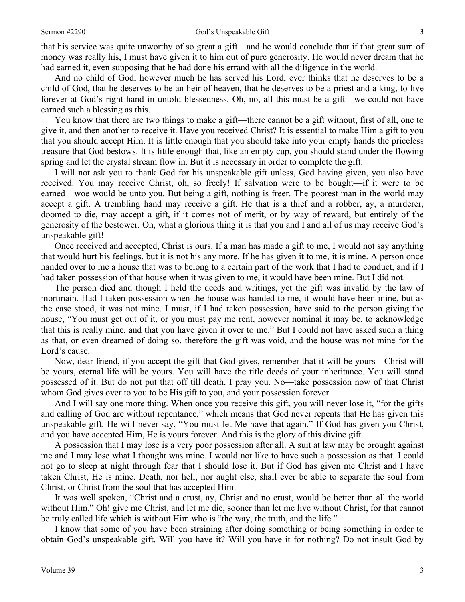that his service was quite unworthy of so great a gift—and he would conclude that if that great sum of money was really his, I must have given it to him out of pure generosity. He would never dream that he had earned it, even supposing that he had done his errand with all the diligence in the world.

And no child of God, however much he has served his Lord, ever thinks that he deserves to be a child of God, that he deserves to be an heir of heaven, that he deserves to be a priest and a king, to live forever at God's right hand in untold blessedness. Oh, no, all this must be a gift—we could not have earned such a blessing as this.

You know that there are two things to make a gift—there cannot be a gift without, first of all, one to give it, and then another to receive it. Have you received Christ? It is essential to make Him a gift to you that you should accept Him. It is little enough that you should take into your empty hands the priceless treasure that God bestows. It is little enough that, like an empty cup, you should stand under the flowing spring and let the crystal stream flow in. But it is necessary in order to complete the gift.

I will not ask you to thank God for his unspeakable gift unless, God having given, you also have received. You may receive Christ, oh, so freely! If salvation were to be bought—if it were to be earned—woe would be unto you. But being a gift, nothing is freer. The poorest man in the world may accept a gift. A trembling hand may receive a gift. He that is a thief and a robber, ay, a murderer, doomed to die, may accept a gift, if it comes not of merit, or by way of reward, but entirely of the generosity of the bestower. Oh, what a glorious thing it is that you and I and all of us may receive God's unspeakable gift!

Once received and accepted, Christ is ours. If a man has made a gift to me, I would not say anything that would hurt his feelings, but it is not his any more. If he has given it to me, it is mine. A person once handed over to me a house that was to belong to a certain part of the work that I had to conduct, and if I had taken possession of that house when it was given to me, it would have been mine. But I did not.

The person died and though I held the deeds and writings, yet the gift was invalid by the law of mortmain. Had I taken possession when the house was handed to me, it would have been mine, but as the case stood, it was not mine. I must, if I had taken possession, have said to the person giving the house, "You must get out of it, or you must pay me rent, however nominal it may be, to acknowledge that this is really mine, and that you have given it over to me." But I could not have asked such a thing as that, or even dreamed of doing so, therefore the gift was void, and the house was not mine for the Lord's cause.

Now, dear friend, if you accept the gift that God gives, remember that it will be yours—Christ will be yours, eternal life will be yours. You will have the title deeds of your inheritance. You will stand possessed of it. But do not put that off till death, I pray you. No—take possession now of that Christ whom God gives over to you to be His gift to you, and your possession forever.

And I will say one more thing. When once you receive this gift, you will never lose it, "for the gifts and calling of God are without repentance," which means that God never repents that He has given this unspeakable gift. He will never say, "You must let Me have that again." If God has given you Christ, and you have accepted Him, He is yours forever. And this is the glory of this divine gift.

A possession that I may lose is a very poor possession after all. A suit at law may be brought against me and I may lose what I thought was mine. I would not like to have such a possession as that. I could not go to sleep at night through fear that I should lose it. But if God has given me Christ and I have taken Christ, He is mine. Death, nor hell, nor aught else, shall ever be able to separate the soul from Christ, or Christ from the soul that has accepted Him.

It was well spoken, "Christ and a crust, ay, Christ and no crust, would be better than all the world without Him." Oh! give me Christ, and let me die, sooner than let me live without Christ, for that cannot be truly called life which is without Him who is "the way, the truth, and the life."

I know that some of you have been straining after doing something or being something in order to obtain God's unspeakable gift. Will you have it? Will you have it for nothing? Do not insult God by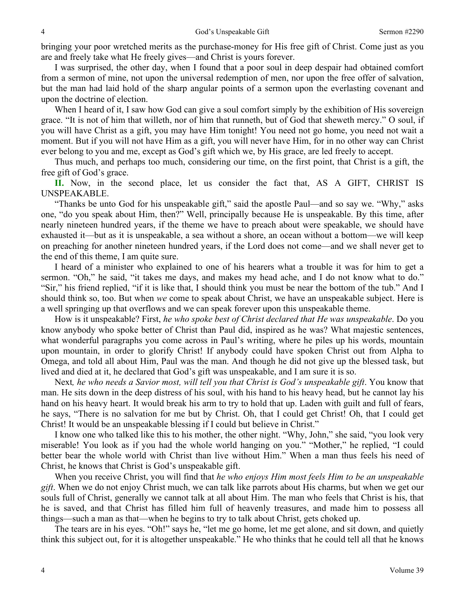bringing your poor wretched merits as the purchase-money for His free gift of Christ. Come just as you are and freely take what He freely gives—and Christ is yours forever.

I was surprised, the other day, when I found that a poor soul in deep despair had obtained comfort from a sermon of mine, not upon the universal redemption of men, nor upon the free offer of salvation, but the man had laid hold of the sharp angular points of a sermon upon the everlasting covenant and upon the doctrine of election.

When I heard of it, I saw how God can give a soul comfort simply by the exhibition of His sovereign grace. "It is not of him that willeth, nor of him that runneth, but of God that sheweth mercy." O soul, if you will have Christ as a gift, you may have Him tonight! You need not go home, you need not wait a moment. But if you will not have Him as a gift, you will never have Him, for in no other way can Christ ever belong to you and me, except as God's gift which we, by His grace, are led freely to accept.

Thus much, and perhaps too much, considering our time, on the first point, that Christ is a gift, the free gift of God's grace.

**II.** Now, in the second place, let us consider the fact that, AS A GIFT, CHRIST IS UNSPEAKABLE.

"Thanks be unto God for his unspeakable gift," said the apostle Paul—and so say we. "Why," asks one, "do you speak about Him, then?" Well, principally because He is unspeakable. By this time, after nearly nineteen hundred years, if the theme we have to preach about were speakable, we should have exhausted it—but as it is unspeakable, a sea without a shore, an ocean without a bottom—we will keep on preaching for another nineteen hundred years, if the Lord does not come—and we shall never get to the end of this theme, I am quite sure.

I heard of a minister who explained to one of his hearers what a trouble it was for him to get a sermon. "Oh," he said, "it takes me days, and makes my head ache, and I do not know what to do." "Sir," his friend replied, "if it is like that, I should think you must be near the bottom of the tub." And I should think so, too. But when *we* come to speak about Christ, we have an unspeakable subject. Here is a well springing up that overflows and we can speak forever upon this unspeakable theme.

How is it unspeakable? First, *he who spoke best of Christ declared that He was unspeakable*. Do you know anybody who spoke better of Christ than Paul did, inspired as he was? What majestic sentences, what wonderful paragraphs you come across in Paul's writing, where he piles up his words, mountain upon mountain, in order to glorify Christ! If anybody could have spoken Christ out from Alpha to Omega, and told all about Him, Paul was the man. And though he did not give up the blessed task, but lived and died at it, he declared that God's gift was unspeakable, and I am sure it is so.

Next*, he who needs a Savior most, will tell you that Christ is God's unspeakable gift*. You know that man. He sits down in the deep distress of his soul, with his hand to his heavy head, but he cannot lay his hand on his heavy heart. It would break his arm to try to hold that up. Laden with guilt and full of fears, he says, "There is no salvation for me but by Christ. Oh, that I could get Christ! Oh, that I could get Christ! It would be an unspeakable blessing if I could but believe in Christ."

I know one who talked like this to his mother, the other night. "Why, John," she said, "you look very miserable! You look as if you had the whole world hanging on you." "Mother," he replied, "I could better bear the whole world with Christ than live without Him." When a man thus feels his need of Christ, he knows that Christ is God's unspeakable gift.

When you receive Christ, you will find that *he who enjoys Him most feels Him to be an unspeakable gift*. When we do not enjoy Christ much, we can talk like parrots about His charms, but when we get our souls full of Christ, generally we cannot talk at all about Him. The man who feels that Christ is his, that he is saved, and that Christ has filled him full of heavenly treasures, and made him to possess all things—such a man as that—when he begins to try to talk about Christ, gets choked up.

The tears are in his eyes. "Oh!" says he, "let me go home, let me get alone, and sit down, and quietly think this subject out, for it is altogether unspeakable." He who thinks that he could tell all that he knows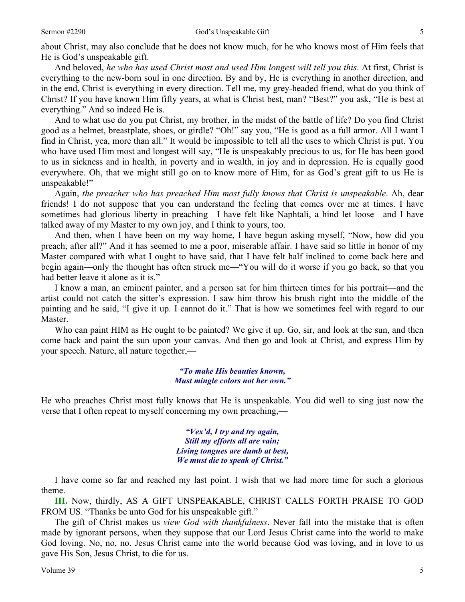about Christ, may also conclude that he does not know much, for he who knows most of Him feels that He is God's unspeakable gift.

And beloved, *he who has used Christ most and used Him longest will tell you this*. At first, Christ is everything to the new-born soul in one direction. By and by, He is everything in another direction, and in the end, Christ is everything in every direction. Tell me, my grey-headed friend, what do you think of Christ? If you have known Him fifty years, at what is Christ best, man? "Best?" you ask, "He is best at everything." And so indeed He is.

And to what use do you put Christ, my brother, in the midst of the battle of life? Do you find Christ good as a helmet, breastplate, shoes, or girdle? "Oh!" say you, "He is good as a full armor. All I want I find in Christ, yea, more than all." It would be impossible to tell all the uses to which Christ is put. You who have used Him most and longest will say, "He is unspeakably precious to us, for He has been good to us in sickness and in health, in poverty and in wealth, in joy and in depression. He is equally good everywhere. Oh, that we might still go on to know more of Him, for as God's great gift to us He is unspeakable!"

Again, *the preacher who has preached Him most fully knows that Christ is unspeakable*. Ah, dear friends! I do not suppose that you can understand the feeling that comes over me at times. I have sometimes had glorious liberty in preaching—I have felt like Naphtali, a hind let loose—and I have talked away of my Master to my own joy, and I think to yours, too.

And then, when I have been on my way home, I have begun asking myself, "Now, how did you preach, after all?" And it has seemed to me a poor, miserable affair. I have said so little in honor of my Master compared with what I ought to have said, that I have felt half inclined to come back here and begin again—only the thought has often struck me—"You will do it worse if you go back, so that you had better leave it alone as it is."

I know a man, an eminent painter, and a person sat for him thirteen times for his portrait—and the artist could not catch the sitter's expression. I saw him throw his brush right into the middle of the painting and he said, "I give it up. I cannot do it." That is how we sometimes feel with regard to our Master.

Who can paint HIM as He ought to be painted? We give it up. Go, sir, and look at the sun, and then come back and paint the sun upon your canvas. And then go and look at Christ, and express Him by your speech. Nature, all nature together,—

#### *"To make His beauties known, Must mingle colors not her own."*

He who preaches Christ most fully knows that He is unspeakable. You did well to sing just now the verse that I often repeat to myself concerning my own preaching,—

> *"Vex'd, I try and try again, Still my efforts all are vain; Living tongues are dumb at best, We must die to speak of Christ."*

I have come so far and reached my last point. I wish that we had more time for such a glorious theme.

**III.** Now, thirdly, AS A GIFT UNSPEAKABLE, CHRIST CALLS FORTH PRAISE TO GOD FROM US. "Thanks be unto God for his unspeakable gift."

The gift of Christ makes us *view God with thankfulness*. Never fall into the mistake that is often made by ignorant persons, when they suppose that our Lord Jesus Christ came into the world to make God loving. No, no, no. Jesus Christ came into the world because God was loving, and in love to us gave His Son, Jesus Christ, to die for us.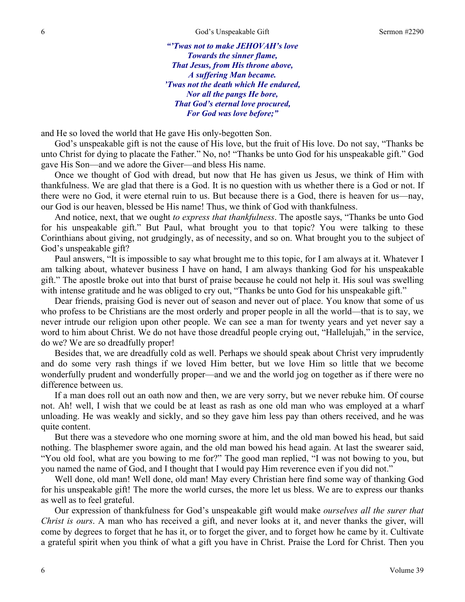*"'Twas not to make JEHOVAH's love Towards the sinner flame, That Jesus, from His throne above, A suffering Man became. 'Twas not the death which He endured, Nor all the pangs He bore, That God's eternal love procured, For God was love before;"* 

and He so loved the world that He gave His only-begotten Son.

God's unspeakable gift is not the cause of His love, but the fruit of His love. Do not say, "Thanks be unto Christ for dying to placate the Father." No, no! "Thanks be unto God for his unspeakable gift." God gave His Son—and we adore the Giver—and bless His name.

Once we thought of God with dread, but now that He has given us Jesus, we think of Him with thankfulness. We are glad that there is a God. It is no question with us whether there is a God or not. If there were no God, it were eternal ruin to us. But because there is a God, there is heaven for us—nay, our God is our heaven, blessed be His name! Thus, we think of God with thankfulness.

And notice, next, that we ought *to express that thankfulness*. The apostle says, "Thanks be unto God for his unspeakable gift." But Paul, what brought you to that topic? You were talking to these Corinthians about giving, not grudgingly, as of necessity, and so on. What brought you to the subject of God's unspeakable gift?

Paul answers, "It is impossible to say what brought me to this topic, for I am always at it. Whatever I am talking about, whatever business I have on hand, I am always thanking God for his unspeakable gift." The apostle broke out into that burst of praise because he could not help it. His soul was swelling with intense gratitude and he was obliged to cry out, "Thanks be unto God for his unspeakable gift."

Dear friends, praising God is never out of season and never out of place. You know that some of us who profess to be Christians are the most orderly and proper people in all the world—that is to say, we never intrude our religion upon other people. We can see a man for twenty years and yet never say a word to him about Christ. We do not have those dreadful people crying out, "Hallelujah," in the service, do we? We are so dreadfully proper!

Besides that, we are dreadfully cold as well. Perhaps we should speak about Christ very imprudently and do some very rash things if we loved Him better, but we love Him so little that we become wonderfully prudent and wonderfully proper—and we and the world jog on together as if there were no difference between us.

If a man does roll out an oath now and then, we are very sorry, but we never rebuke him. Of course not. Ah! well, I wish that we could be at least as rash as one old man who was employed at a wharf unloading. He was weakly and sickly, and so they gave him less pay than others received, and he was quite content.

But there was a stevedore who one morning swore at him, and the old man bowed his head, but said nothing. The blasphemer swore again, and the old man bowed his head again. At last the swearer said, "You old fool, what are you bowing to me for?" The good man replied, "I was not bowing to you, but you named the name of God, and I thought that I would pay Him reverence even if you did not."

Well done, old man! Well done, old man! May every Christian here find some way of thanking God for his unspeakable gift! The more the world curses, the more let us bless. We are to express our thanks as well as to feel grateful.

Our expression of thankfulness for God's unspeakable gift would make *ourselves all the surer that Christ is ours*. A man who has received a gift, and never looks at it, and never thanks the giver, will come by degrees to forget that he has it, or to forget the giver, and to forget how he came by it. Cultivate a grateful spirit when you think of what a gift you have in Christ. Praise the Lord for Christ. Then you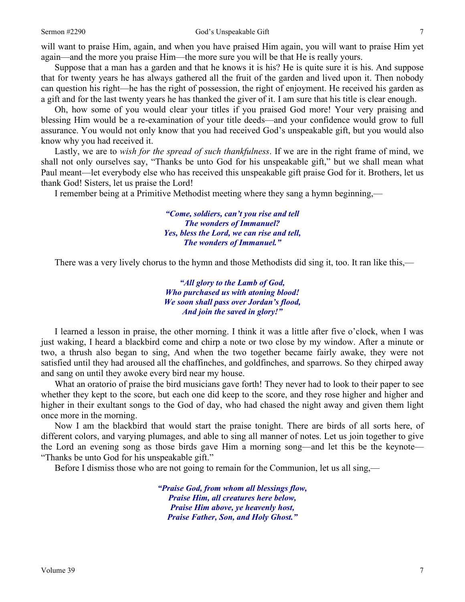#### Sermon #2290 God's Unspeakable Gift 7

will want to praise Him, again, and when you have praised Him again, you will want to praise Him yet again—and the more you praise Him—the more sure you will be that He is really yours.

Suppose that a man has a garden and that he knows it is his? He is quite sure it is his. And suppose that for twenty years he has always gathered all the fruit of the garden and lived upon it. Then nobody can question his right—he has the right of possession, the right of enjoyment. He received his garden as a gift and for the last twenty years he has thanked the giver of it. I am sure that his title is clear enough.

Oh, how some of you would clear your titles if you praised God more! Your very praising and blessing Him would be a re-examination of your title deeds—and your confidence would grow to full assurance. You would not only know that you had received God's unspeakable gift, but you would also know why you had received it.

Lastly, we are to *wish for the spread of such thankfulness*. If we are in the right frame of mind, we shall not only ourselves say, "Thanks be unto God for his unspeakable gift," but we shall mean what Paul meant—let everybody else who has received this unspeakable gift praise God for it. Brothers, let us thank God! Sisters, let us praise the Lord!

I remember being at a Primitive Methodist meeting where they sang a hymn beginning,—

*"Come, soldiers, can't you rise and tell The wonders of Immanuel? Yes, bless the Lord, we can rise and tell, The wonders of Immanuel."* 

There was a very lively chorus to the hymn and those Methodists did sing it, too. It ran like this,—

*"All glory to the Lamb of God, Who purchased us with atoning blood! We soon shall pass over Jordan's flood, And join the saved in glory!"* 

I learned a lesson in praise, the other morning. I think it was a little after five o'clock, when I was just waking, I heard a blackbird come and chirp a note or two close by my window. After a minute or two, a thrush also began to sing, And when the two together became fairly awake, they were not satisfied until they had aroused all the chaffinches, and goldfinches, and sparrows. So they chirped away and sang on until they awoke every bird near my house.

What an oratorio of praise the bird musicians gave forth! They never had to look to their paper to see whether they kept to the score, but each one did keep to the score, and they rose higher and higher and higher in their exultant songs to the God of day, who had chased the night away and given them light once more in the morning.

Now I am the blackbird that would start the praise tonight. There are birds of all sorts here, of different colors, and varying plumages, and able to sing all manner of notes. Let us join together to give the Lord an evening song as those birds gave Him a morning song—and let this be the keynote— "Thanks be unto God for his unspeakable gift."

Before I dismiss those who are not going to remain for the Communion, let us all sing,—

*"Praise God, from whom all blessings flow, Praise Him, all creatures here below, Praise Him above, ye heavenly host, Praise Father, Son, and Holy Ghost."*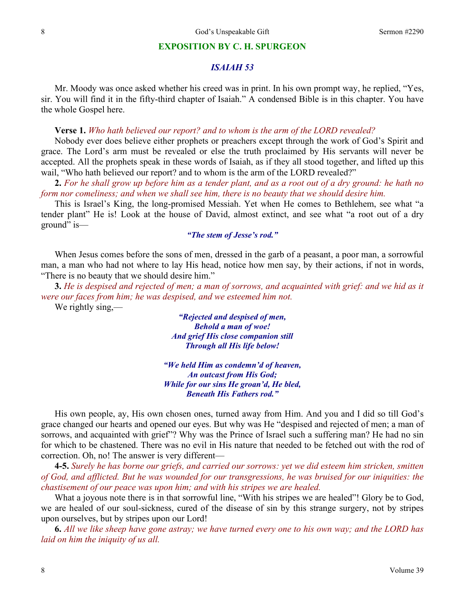#### **EXPOSITION BY C. H. SPURGEON**

## *ISAIAH 53*

Mr. Moody was once asked whether his creed was in print. In his own prompt way, he replied, "Yes, sir. You will find it in the fifty-third chapter of Isaiah." A condensed Bible is in this chapter. You have the whole Gospel here.

**Verse 1.** *Who hath believed our report? and to whom is the arm of the LORD revealed?* 

Nobody ever does believe either prophets or preachers except through the work of God's Spirit and grace. The Lord's arm must be revealed or else the truth proclaimed by His servants will never be accepted. All the prophets speak in these words of Isaiah, as if they all stood together, and lifted up this wail, "Who hath believed our report? and to whom is the arm of the LORD revealed?"

**2.** *For he shall grow up before him as a tender plant, and as a root out of a dry ground: he hath no form nor comeliness; and when we shall see him, there is no beauty that we should desire him.* 

This is Israel's King, the long-promised Messiah. Yet when He comes to Bethlehem, see what "a tender plant" He is! Look at the house of David, almost extinct, and see what "a root out of a dry ground" is—

### *"The stem of Jesse's rod."*

When Jesus comes before the sons of men, dressed in the garb of a peasant, a poor man, a sorrowful man, a man who had not where to lay His head, notice how men say, by their actions, if not in words, "There is no beauty that we should desire him."

**3.** *He is despised and rejected of men; a man of sorrows, and acquainted with grief: and we hid as it were our faces from him; he was despised, and we esteemed him not.* 

We rightly sing,—

*"Rejected and despised of men, Behold a man of woe! And grief His close companion still Through all His life below!* 

*"We held Him as condemn'd of heaven, An outcast from His God; While for our sins He groan'd, He bled, Beneath His Fathers rod."* 

His own people, ay, His own chosen ones, turned away from Him. And you and I did so till God's grace changed our hearts and opened our eyes. But why was He "despised and rejected of men; a man of sorrows, and acquainted with grief"? Why was the Prince of Israel such a suffering man? He had no sin for which to be chastened. There was no evil in His nature that needed to be fetched out with the rod of correction. Oh, no! The answer is very different—

**4-5.** *Surely he has borne our griefs, and carried our sorrows: yet we did esteem him stricken, smitten of God, and afflicted. But he was wounded for our transgressions, he was bruised for our iniquities: the chastisement of our peace was upon him; and with his stripes we are healed.* 

What a joyous note there is in that sorrowful line, "With his stripes we are healed"! Glory be to God, we are healed of our soul-sickness, cured of the disease of sin by this strange surgery, not by stripes upon ourselves, but by stripes upon our Lord!

**6.** *All we like sheep have gone astray; we have turned every one to his own way; and the LORD has laid on him the iniquity of us all.*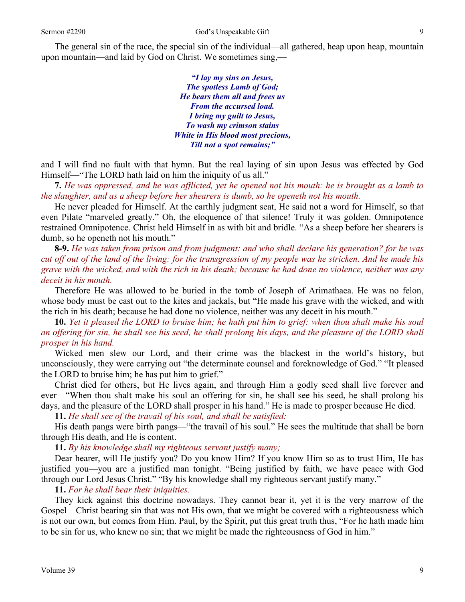The general sin of the race, the special sin of the individual—all gathered, heap upon heap, mountain upon mountain—and laid by God on Christ. We sometimes sing,—

> *"I lay my sins on Jesus, The spotless Lamb of God; He bears them all and frees us From the accursed load. I bring my guilt to Jesus, To wash my crimson stains White in His blood most precious, Till not a spot remains;"*

and I will find no fault with that hymn. But the real laying of sin upon Jesus was effected by God Himself—"The LORD hath laid on him the iniquity of us all."

**7.** *He was oppressed, and he was afflicted, yet he opened not his mouth: he is brought as a lamb to the slaughter, and as a sheep before her shearers is dumb, so he openeth not his mouth.* 

He never pleaded for Himself. At the earthly judgment seat, He said not a word for Himself, so that even Pilate "marveled greatly." Oh, the eloquence of that silence! Truly it was golden. Omnipotence restrained Omnipotence. Christ held Himself in as with bit and bridle. "As a sheep before her shearers is dumb, so he openeth not his mouth."

**8-9.** *He was taken from prison and from judgment: and who shall declare his generation? for he was cut off out of the land of the living: for the transgression of my people was he stricken. And he made his grave with the wicked, and with the rich in his death; because he had done no violence, neither was any deceit in his mouth.* 

Therefore He was allowed to be buried in the tomb of Joseph of Arimathaea. He was no felon, whose body must be cast out to the kites and jackals, but "He made his grave with the wicked, and with the rich in his death; because he had done no violence, neither was any deceit in his mouth."

**10.** *Yet it pleased the LORD to bruise him; he hath put him to grief: when thou shalt make his soul an offering for sin, he shall see his seed, he shall prolong his days, and the pleasure of the LORD shall prosper in his hand.* 

Wicked men slew our Lord, and their crime was the blackest in the world's history, but unconsciously, they were carrying out "the determinate counsel and foreknowledge of God." "It pleased the LORD to bruise him; he has put him to grief."

Christ died for others, but He lives again, and through Him a godly seed shall live forever and ever—"When thou shalt make his soul an offering for sin, he shall see his seed, he shall prolong his days, and the pleasure of the LORD shall prosper in his hand." He is made to prosper because He died.

**11.** *He shall see of the travail of his soul, and shall be satisfied:* 

His death pangs were birth pangs—"the travail of his soul." He sees the multitude that shall be born through His death, and He is content.

**11.** *By his knowledge shall my righteous servant justify many;* 

Dear hearer, will He justify you? Do you know Him? If you know Him so as to trust Him, He has justified you—you are a justified man tonight. "Being justified by faith, we have peace with God through our Lord Jesus Christ." "By his knowledge shall my righteous servant justify many."

**11.** *For he shall bear their iniquities.* 

They kick against this doctrine nowadays. They cannot bear it, yet it is the very marrow of the Gospel—Christ bearing sin that was not His own, that we might be covered with a righteousness which is not our own, but comes from Him. Paul, by the Spirit, put this great truth thus, "For he hath made him to be sin for us, who knew no sin; that we might be made the righteousness of God in him."